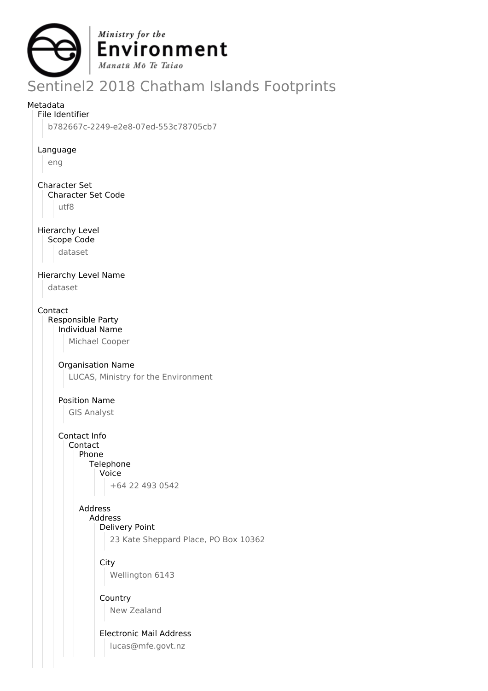

# Sentinel2 2018 Chatham Islands Footprints

#### Metadata

File Identifier

b782667c-2249-e2e8-07ed-553c78705cb7

Language

eng

Character Set

Character Set Code

utf8

Hierarchy Level

Scope Code

dataset

Hierarchy Level Name

dataset

Contact

Responsible Party Individual Name

Michael Cooper

#### Organisation Name

LUCAS, Ministry for the Environment

Position Name

GIS Analyst

Contact Info Contact

Phone Telephone

Voice

+64 22 493 0542

### Address

Address

Delivery Point

23 Kate Sheppard Place, PO Box 10362

**City** Wellington 6143

Country New Zealand

Electronic Mail Address lucas@mfe.govt.nz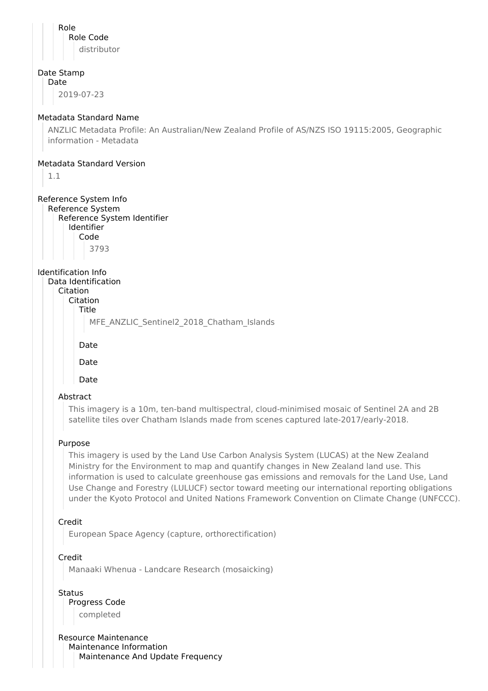| Role<br>Role Code<br>distributor                                                                                                                                                                                                                                                                                                                                                                                                                                                    |
|-------------------------------------------------------------------------------------------------------------------------------------------------------------------------------------------------------------------------------------------------------------------------------------------------------------------------------------------------------------------------------------------------------------------------------------------------------------------------------------|
| Date Stamp<br>Date<br>2019-07-23                                                                                                                                                                                                                                                                                                                                                                                                                                                    |
| Metadata Standard Name<br>ANZLIC Metadata Profile: An Australian/New Zealand Profile of AS/NZS ISO 19115:2005, Geographic<br>information - Metadata                                                                                                                                                                                                                                                                                                                                 |
| Metadata Standard Version<br>1.1                                                                                                                                                                                                                                                                                                                                                                                                                                                    |
| Reference System Info<br>Reference System<br>Reference System Identifier<br>Identifier<br>Code<br>3793                                                                                                                                                                                                                                                                                                                                                                              |
| Identification Info<br>Data Identification<br>Citation<br>Citation<br>Title<br>MFE_ANZLIC_Sentinel2_2018_Chatham_Islands<br>Date                                                                                                                                                                                                                                                                                                                                                    |
| Date                                                                                                                                                                                                                                                                                                                                                                                                                                                                                |
| Date                                                                                                                                                                                                                                                                                                                                                                                                                                                                                |
| Abstract                                                                                                                                                                                                                                                                                                                                                                                                                                                                            |
| This imagery is a 10m, ten-band multispectral, cloud-minimised mosaic of Sentinel 2A and 2B<br>satellite tiles over Chatham Islands made from scenes captured late-2017/early-2018.                                                                                                                                                                                                                                                                                                 |
| Purpose                                                                                                                                                                                                                                                                                                                                                                                                                                                                             |
| This imagery is used by the Land Use Carbon Analysis System (LUCAS) at the New Zealand<br>Ministry for the Environment to map and quantify changes in New Zealand land use. This<br>information is used to calculate greenhouse gas emissions and removals for the Land Use, Land<br>Use Change and Forestry (LULUCF) sector toward meeting our international reporting obligations<br>under the Kyoto Protocol and United Nations Framework Convention on Climate Change (UNFCCC). |
| Credit<br>European Space Agency (capture, orthorectification)                                                                                                                                                                                                                                                                                                                                                                                                                       |
| Credit                                                                                                                                                                                                                                                                                                                                                                                                                                                                              |
| Manaaki Whenua - Landcare Research (mosaicking)                                                                                                                                                                                                                                                                                                                                                                                                                                     |
| <b>Status</b><br>Progress Code<br>completed                                                                                                                                                                                                                                                                                                                                                                                                                                         |
| <b>Resource Maintenance</b><br>Maintenance Information<br>Maintenance And Update Frequency                                                                                                                                                                                                                                                                                                                                                                                          |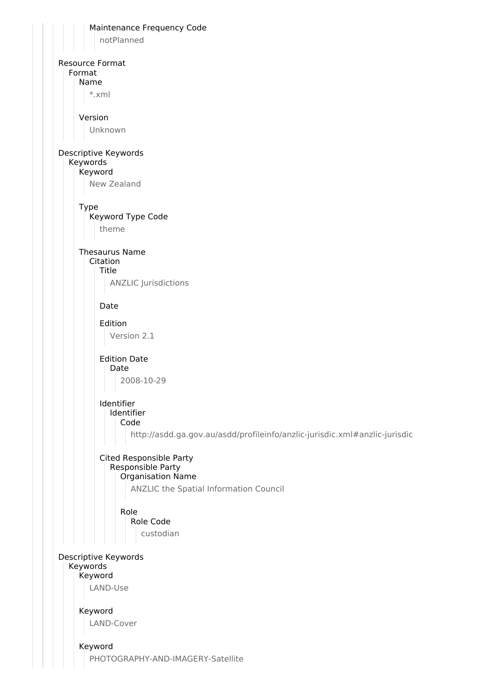| Maintenance Frequency Code<br>notPlanned                                   |
|----------------------------------------------------------------------------|
|                                                                            |
| <b>Resource Format</b><br>Format                                           |
| Name<br>*.xml                                                              |
|                                                                            |
| Version                                                                    |
| Unknown                                                                    |
| Descriptive Keywords                                                       |
| Keywords<br>Keyword                                                        |
| New Zealand                                                                |
| <b>Type</b><br>Keyword Type Code                                           |
| theme                                                                      |
| <b>Thesaurus Name</b>                                                      |
| Citation<br>Title                                                          |
| <b>ANZLIC Jurisdictions</b>                                                |
| Date                                                                       |
| Edition                                                                    |
| Version 2.1                                                                |
| <b>Edition Date</b><br>Date                                                |
| 2008-10-29                                                                 |
| Identifier                                                                 |
| Identifier<br>Code                                                         |
| http://asdd.ga.gov.au/asdd/profileinfo/anzlic-jurisdic.xml#anzlic-jurisdic |
| Cited Responsible Party                                                    |
| Responsible Party<br>Organisation Name                                     |
| ANZLIC the Spatial Information Council                                     |
| Role                                                                       |
| Role Code                                                                  |
| custodian                                                                  |
| Descriptive Keywords                                                       |
| Keywords<br>Keyword                                                        |
| LAND-Use                                                                   |
| Keyword                                                                    |
| LAND-Cover                                                                 |
|                                                                            |
| Keyword<br>PHOTOGRAPHY-AND-IMAGERY-Satellite                               |
|                                                                            |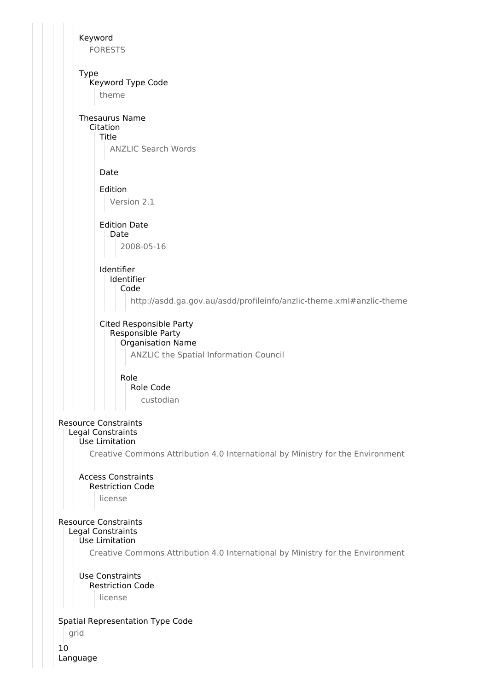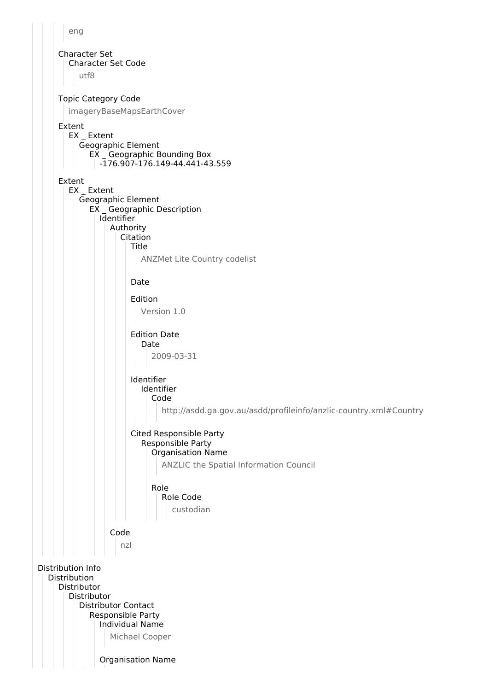

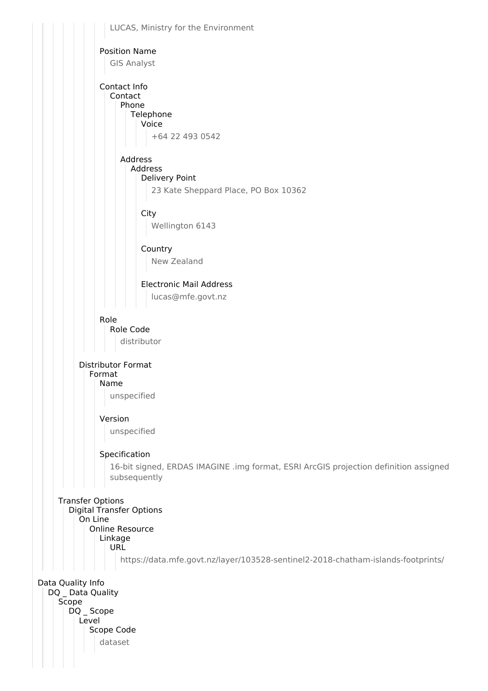